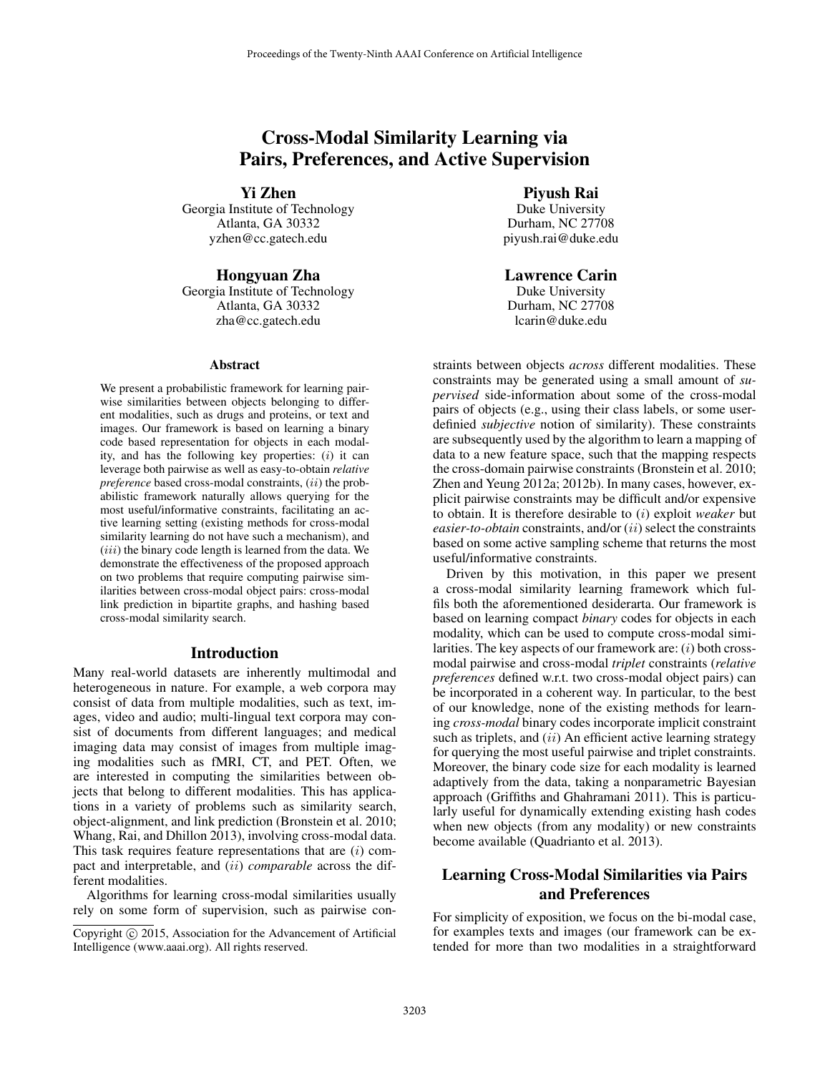# Cross-Modal Similarity Learning via Pairs, Preferences, and Active Supervision

Yi Zhen

Georgia Institute of Technology Atlanta, GA 30332 yzhen@cc.gatech.edu

## Hongyuan Zha

Georgia Institute of Technology Atlanta, GA 30332 zha@cc.gatech.edu

#### Abstract

We present a probabilistic framework for learning pairwise similarities between objects belonging to different modalities, such as drugs and proteins, or text and images. Our framework is based on learning a binary code based representation for objects in each modality, and has the following key properties:  $(i)$  it can leverage both pairwise as well as easy-to-obtain *relative preference* based cross-modal constraints, *(ii)* the probabilistic framework naturally allows querying for the most useful/informative constraints, facilitating an active learning setting (existing methods for cross-modal similarity learning do not have such a mechanism), and  $(iii)$  the binary code length is learned from the data. We demonstrate the effectiveness of the proposed approach on two problems that require computing pairwise similarities between cross-modal object pairs: cross-modal link prediction in bipartite graphs, and hashing based cross-modal similarity search.

#### Introduction

Many real-world datasets are inherently multimodal and heterogeneous in nature. For example, a web corpora may consist of data from multiple modalities, such as text, images, video and audio; multi-lingual text corpora may consist of documents from different languages; and medical imaging data may consist of images from multiple imaging modalities such as fMRI, CT, and PET. Often, we are interested in computing the similarities between objects that belong to different modalities. This has applications in a variety of problems such as similarity search, object-alignment, and link prediction (Bronstein et al. 2010; Whang, Rai, and Dhillon 2013), involving cross-modal data. This task requires feature representations that are  $(i)$  compact and interpretable, and (ii) *comparable* across the different modalities.

Algorithms for learning cross-modal similarities usually rely on some form of supervision, such as pairwise conPiyush Rai

Duke University Durham, NC 27708 piyush.rai@duke.edu

## Lawrence Carin

Duke University Durham, NC 27708 lcarin@duke.edu

straints between objects *across* different modalities. These constraints may be generated using a small amount of *supervised* side-information about some of the cross-modal pairs of objects (e.g., using their class labels, or some userdefinied *subjective* notion of similarity). These constraints are subsequently used by the algorithm to learn a mapping of data to a new feature space, such that the mapping respects the cross-domain pairwise constraints (Bronstein et al. 2010; Zhen and Yeung 2012a; 2012b). In many cases, however, explicit pairwise constraints may be difficult and/or expensive to obtain. It is therefore desirable to (i) exploit *weaker* but *easier-to-obtain* constraints, and/or (*ii*) select the constraints based on some active sampling scheme that returns the most useful/informative constraints.

Driven by this motivation, in this paper we present a cross-modal similarity learning framework which fulfils both the aforementioned desiderarta. Our framework is based on learning compact *binary* codes for objects in each modality, which can be used to compute cross-modal similarities. The key aspects of our framework are:  $(i)$  both crossmodal pairwise and cross-modal *triplet* constraints (*relative preferences* defined w.r.t. two cross-modal object pairs) can be incorporated in a coherent way. In particular, to the best of our knowledge, none of the existing methods for learning *cross-modal* binary codes incorporate implicit constraint such as triplets, and  $(ii)$  An efficient active learning strategy for querying the most useful pairwise and triplet constraints. Moreover, the binary code size for each modality is learned adaptively from the data, taking a nonparametric Bayesian approach (Griffiths and Ghahramani 2011). This is particularly useful for dynamically extending existing hash codes when new objects (from any modality) or new constraints become available (Quadrianto et al. 2013).

## Learning Cross-Modal Similarities via Pairs and Preferences

For simplicity of exposition, we focus on the bi-modal case, for examples texts and images (our framework can be extended for more than two modalities in a straightforward

Copyright (c) 2015, Association for the Advancement of Artificial Intelligence (www.aaai.org). All rights reserved.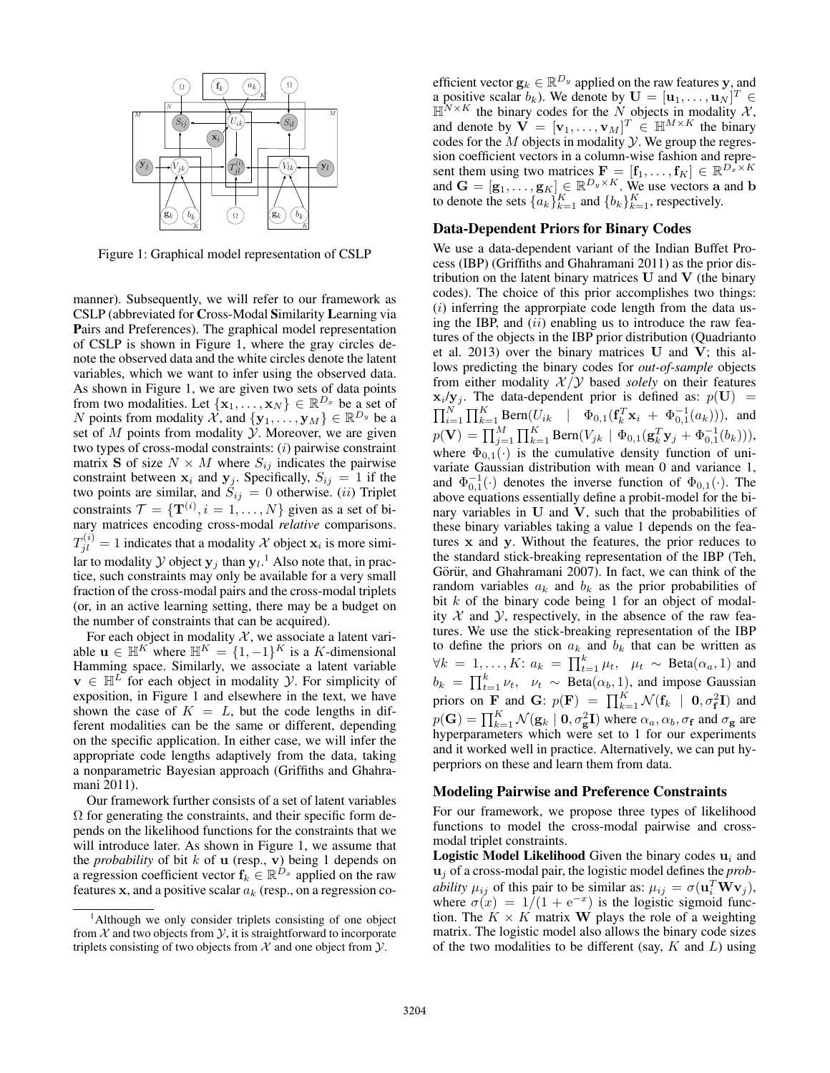

Figure 1: Graphical model representation of CSLP

manner). Subsequently, we will refer to our framework as CSLP (abbreviated for Cross-Modal Similarity Learning via Pairs and Preferences). The graphical model representation of CSLP is shown in Figure 1, where the gray circles denote the observed data and the white circles denote the latent variables, which we want to infer using the observed data. As shown in Figure 1, we are given two sets of data points from two modalities. Let  $\{x_1, \ldots, x_N\} \in \mathbb{R}^{D_x}$  be a set of N points from modality  $\mathcal{X}$ , and  $\{y_1, \ldots, y_M\} \in \mathbb{R}^{D_y}$  be a set of  $M$  points from modality  $\mathcal Y$ . Moreover, we are given two types of cross-modal constraints:  $(i)$  pairwise constraint matrix S of size  $N \times M$  where  $S_{ij}$  indicates the pairwise constraint between  $x_i$  and  $y_j$ . Specifically,  $S_{ij} = 1$  if the two points are similar, and  $S_{ij} = 0$  otherwise. (*ii*) Triplet constraints  $\mathcal{T} = \{ \mathbf{T}^{(i)}, i = 1, \dots, N \}$  given as a set of binary matrices encoding cross-modal *relative* comparisons.  $T_{jl}^{(i)} = 1$  indicates that a modality X object  $\mathbf{x}_i$  is more similar to modality  $Y$  object  $y_j$  than  $y_l$ .<sup>1</sup> Also note that, in practice, such constraints may only be available for a very small fraction of the cross-modal pairs and the cross-modal triplets (or, in an active learning setting, there may be a budget on the number of constraints that can be acquired).

For each object in modality  $X$ , we associate a latent variable  $\mathbf{u} \in \mathbb{H}^{K}$  where  $\mathbb{H}^{K} = \{1, -1\}^{K}$  is a K-dimensional Hamming space. Similarly, we associate a latent variable  $\mathbf{v} \in \mathbb{H}^L$  for each object in modality Y. For simplicity of exposition, in Figure 1 and elsewhere in the text, we have shown the case of  $K = L$ , but the code lengths in different modalities can be the same or different, depending on the specific application. In either case, we will infer the appropriate code lengths adaptively from the data, taking a nonparametric Bayesian approach (Griffiths and Ghahramani 2011).

Our framework further consists of a set of latent variables  $\Omega$  for generating the constraints, and their specific form depends on the likelihood functions for the constraints that we will introduce later. As shown in Figure 1, we assume that the *probability* of bit  $k$  of **u** (resp., **v**) being 1 depends on a regression coefficient vector  $f_k \in \mathbb{R}^{D_x}$  applied on the raw features x, and a positive scalar  $a_k$  (resp., on a regression co-

efficient vector  $\mathbf{g}_k \in \mathbb{R}^{D_y}$  applied on the raw features y, and a positive scalar  $b_k$ ). We denote by  $\mathbf{U} = [\mathbf{u}_1, \dots, \mathbf{u}_N]^T \in$  $\mathbb{H}^{N \times K}$  the binary codes for the N objects in modality X, and denote by  $\mathbf{V} = [\mathbf{v}_1, \dots, \mathbf{v}_M]^T \in \mathbb{H}^{M \times K}$  the binary codes for the  $M$  objects in modality  $Y$ . We group the regression coefficient vectors in a column-wise fashion and represent them using two matrices  $\mathbf{F} = [\mathbf{f}_1, \dots, \mathbf{f}_K] \in \mathbb{R}^{D_x \times K}$ and  $\mathbf{G} = [\mathbf{g}_1, \dots, \mathbf{g}_K] \in \mathbb{R}^{D_y \times K}$ . We use vectors a and b to denote the sets  $\{a_k\}_{k=1}^K$  and  $\{b_k\}_{k=1}^K$ , respectively.

## Data-Dependent Priors for Binary Codes

We use a data-dependent variant of the Indian Buffet Process (IBP) (Griffiths and Ghahramani 2011) as the prior distribution on the latent binary matrices  $U$  and  $V$  (the binary codes). The choice of this prior accomplishes two things:  $(i)$  inferring the approrpiate code length from the data using the IBP, and  $(ii)$  enabling us to introduce the raw features of the objects in the IBP prior distribution (Quadrianto et al. 2013) over the binary matrices  **and**  $**V**$ **; this al**lows predicting the binary codes for *out-of-sample* objects from either modality  $X/Y$  based *solely* on their features  $\mathbf{x}_i/\mathbf{y}_j$ . The data-dependent prior is defined as:  $p(\mathbf{U}) =$  $\prod_{i=1}^{N} \prod_{k=1}^{K} \text{Bern}(U_{ik} \mid \Phi_{0,1}(\mathbf{f}_{k}^{T} \mathbf{x}_{i} + \Phi_{0,1}^{-1}(a_{k}))),$  and  $p(\mathbf{V}) = \prod_{j=1}^{M} \prod_{k=1}^{K} \text{Bern}(V_{jk} \mid \Phi_{0,1}(\mathbf{g}_{k}^{T} \mathbf{y}_{j} + \Phi_{0,1}^{-1}(b_{k}))),$ where  $\Phi_{0,1}(\cdot)$  is the cumulative density function of univariate Gaussian distribution with mean 0 and variance 1, and  $\Phi_{0,1}^{-1}(\cdot)$  denotes the inverse function of  $\Phi_{0,1}(\cdot)$ . The above equations essentially define a probit-model for the binary variables in  $U$  and  $V$ , such that the probabilities of these binary variables taking a value 1 depends on the features x and y. Without the features, the prior reduces to the standard stick-breaking representation of the IBP (Teh, Görür, and Ghahramani 2007). In fact, we can think of the random variables  $a_k$  and  $b_k$  as the prior probabilities of bit  $k$  of the binary code being 1 for an object of modality  $X$  and  $Y$ , respectively, in the absence of the raw features. We use the stick-breaking representation of the IBP to define the priors on  $a_k$  and  $b_k$  that can be written as  $\forall k = 1, \ldots, K: a_k = \prod_{t=1}^k \mu_t, \mu_t \sim \text{Beta}(\alpha_a, 1)$  and  $b_k = \prod_{t=1}^k \nu_t$ ,  $\nu_t \sim \text{Beta}(\alpha_b, 1)$ , and impose Gaussian priors on **F** and **G**:  $p(\mathbf{F}) = \prod_{k=1}^{K} \mathcal{N}(\mathbf{f}_k | \mathbf{0}, \sigma_{\mathbf{f}}^2 \mathbf{I})$  and  $p(\mathbf{G}) = \prod_{k=1}^{K} \mathcal{N}(\mathbf{g}_k \mid \mathbf{0}, \sigma_{\mathbf{g}}^2 \mathbf{I})$  where  $\alpha_a, \alpha_b, \sigma_{\mathbf{f}}$  and  $\sigma_{\mathbf{g}}$  are hyperparameters which were set to 1 for our experiments and it worked well in practice. Alternatively, we can put hyperpriors on these and learn them from data.

#### Modeling Pairwise and Preference Constraints

For our framework, we propose three types of likelihood functions to model the cross-modal pairwise and crossmodal triplet constraints.

**Logistic Model Likelihood** Given the binary codes  $\mathbf{u}_i$  and u<sup>j</sup> of a cross-modal pair, the logistic model defines the *probability*  $\mu_{ij}$  of this pair to be similar as:  $\mu_{ij} = \sigma(\mathbf{u}_i^T \mathbf{W} \mathbf{v}_j)$ , where  $\sigma(x) = 1/(1 + e^{-x})$  is the logistic sigmoid function. The  $K \times K$  matrix **W** plays the role of a weighting matrix. The logistic model also allows the binary code sizes of the two modalities to be different (say,  $K$  and  $L$ ) using

 $1$ Although we only consider triplets consisting of one object from  $X$  and two objects from  $Y$ , it is straightforward to incorporate triplets consisting of two objects from  $X$  and one object from  $Y$ .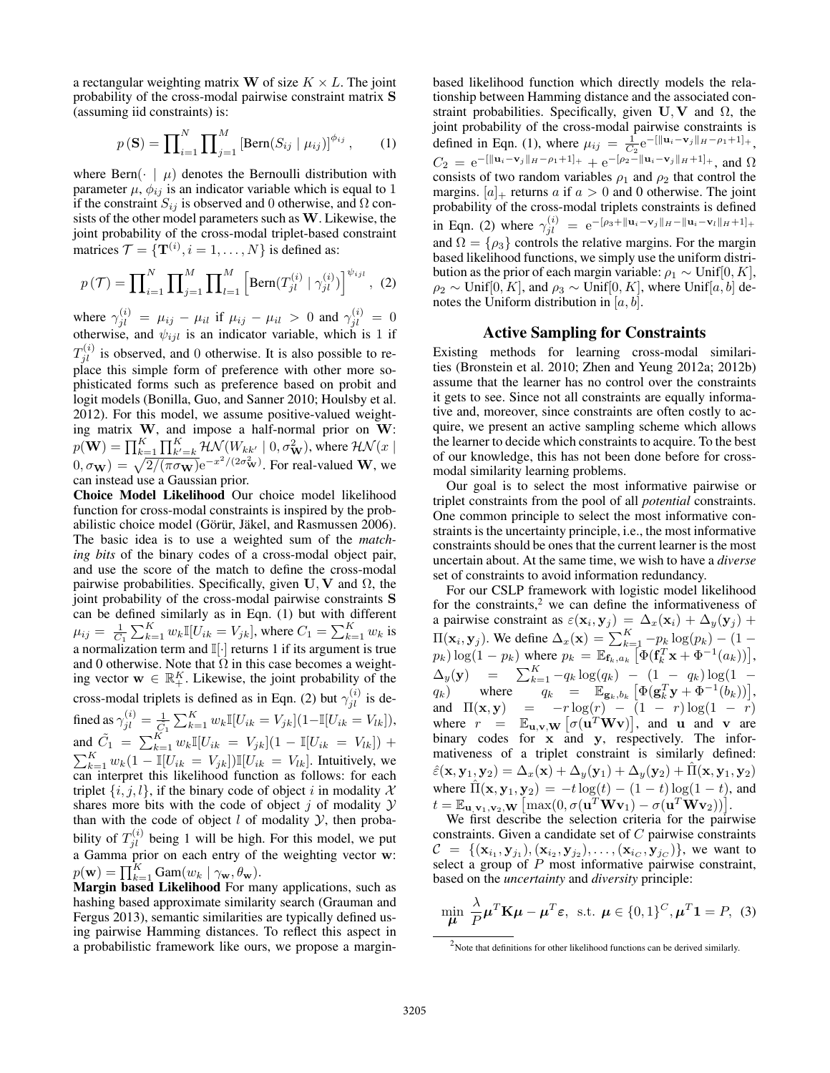a rectangular weighting matrix W of size  $K \times L$ . The joint probability of the cross-modal pairwise constraint matrix S (assuming iid constraints) is:

$$
p(\mathbf{S}) = \prod_{i=1}^{N} \prod_{j=1}^{M} \left[ \text{Bern}(S_{ij} \mid \mu_{ij}) \right]^{\phi_{ij}}, \qquad (1)
$$

where Bern $\left(\cdot \mid \mu\right)$  denotes the Bernoulli distribution with parameter  $\mu$ ,  $\phi_{ij}$  is an indicator variable which is equal to 1 if the constraint  $S_{ij}$  is observed and 0 otherwise, and  $\Omega$  consists of the other model parameters such as W. Likewise, the joint probability of the cross-modal triplet-based constraint matrices  $\mathcal{T} = {\{\mathbf{T}^{(i)}, i = 1, ..., N\}}$  is defined as:

$$
p(\mathcal{T}) = \prod_{i=1}^{N} \prod_{j=1}^{M} \prod_{l=1}^{M} \left[ \text{Bern}(T_{jl}^{(i)} \mid \gamma_{jl}^{(i)}) \right]^{\psi_{ijl}}, \tag{2}
$$

where  $\gamma_{jl}^{(i)} = \mu_{ij} - \mu_{il}$  if  $\mu_{ij} - \mu_{il} > 0$  and  $\gamma_{jl}^{(i)} = 0$ otherwise, and  $\psi_{ijl}$  is an indicator variable, which is 1 if  $T_{jl}^{(i)}$  is observed, and 0 otherwise. It is also possible to replace this simple form of preference with other more sophisticated forms such as preference based on probit and logit models (Bonilla, Guo, and Sanner 2010; Houlsby et al. 2012). For this model, we assume positive-valued weighting matrix  $W$ , and impose a half-normal prior on  $W$ :  $p(\mathbf{W}) = \prod_{k=1}^K \prod_{k'=k}^K \mathcal{HN}(W_{kk'}\mid 0, \sigma_{\mathbf{W}}^2),$  where  $\mathcal{HN}(x\mid \mathcal{N})$  $(0, \sigma_{\mathbf{W}}) = \sqrt{\frac{2}{(\pi \sigma_{\mathbf{W}})}} e^{-x^2/(2\sigma_{\mathbf{W}}^2)}$ . For real-valued W, we can instead use a Gaussian prior.

Choice Model Likelihood Our choice model likelihood function for cross-modal constraints is inspired by the probabilistic choice model (Görür, Jäkel, and Rasmussen 2006). The basic idea is to use a weighted sum of the *matching bits* of the binary codes of a cross-modal object pair, and use the score of the match to define the cross-modal pairwise probabilities. Specifically, given  $U, V$  and  $\Omega$ , the joint probability of the cross-modal pairwise constraints S can be defined similarly as in Eqn. (1) but with different  $\mu_{ij} = \frac{1}{C_1} \sum_{k=1}^{K} w_k \mathbb{I}[U_{ik} = V_{jk}]$ , where  $C_1 = \sum_{k=1}^{K} w_k$  is a normalization term and  $\mathbb{I}[\cdot]$  returns 1 if its argument is true and 0 otherwise. Note that  $\Omega$  in this case becomes a weighting vector  $\mathbf{w} \in \mathbb{R}_+^K$ . Likewise, the joint probability of the cross-modal triplets is defined as in Eqn. (2) but  $\gamma_{jl}^{(i)}$  is defined as  $\gamma_{jl}^{(i)} = \frac{1}{\tilde{C_1}} \sum_{k=1}^{K} w_k \mathbb{I}[U_{ik} = V_{jk}] (1 - \mathbb{I}[U_{ik} = V_{lk}]),$ and  $\tilde{C}_1 = \sum_{k=1}^K w_k \mathbb{I}[U_{ik} = V_{jk}](1 - \mathbb{I}[U_{ik} = V_{lk}]) +$  $\sum_{k=1}^K w_k(1 - \mathbb{I}[U_{ik} = V_{jk}]) \mathbb{I}[U_{ik} = V_{lk}]$ . Intuitively, we can interpret this likelihood function as follows: for each triplet  $\{i, j, l\}$ , if the binary code of object i in modality X shares more bits with the code of object  $j$  of modality  $Y$ than with the code of object  $l$  of modality  $\mathcal{Y}$ , then probability of  $T_{jl}^{(i)}$  being 1 will be high. For this model, we put a Gamma prior on each entry of the weighting vector w:  $p(\mathbf{w}) = \prod_{k=1}^{K} \text{Gam}(w_k | \gamma_{\mathbf{w}}, \theta_{\mathbf{w}}).$ 

Margin based Likelihood For many applications, such as hashing based approximate similarity search (Grauman and Fergus 2013), semantic similarities are typically defined using pairwise Hamming distances. To reflect this aspect in a probabilistic framework like ours, we propose a marginbased likelihood function which directly models the relationship between Hamming distance and the associated constraint probabilities. Specifically, given  $U, V$  and  $\Omega$ , the joint probability of the cross-modal pairwise constraints is defined in Eqn. (1), where  $\mu_{ij} = \frac{1}{C_2} e^{-\left[ \|\mathbf{u}_i - \mathbf{v}_j\|_H - \rho_1 + 1 \right]_+},$  $C_2 = e^{-[\|\mathbf{u}_i - \mathbf{v}_j\|_H - \rho_1 + 1]_+} + e^{-[\rho_2 - \|\mathbf{u}_i - \mathbf{v}_j\|_H + 1]_+},$  and  $\Omega$ consists of two random variables  $\rho_1$  and  $\rho_2$  that control the margins.  $[a]_+$  returns a if  $a > 0$  and 0 otherwise. The joint probability of the cross-modal triplets constraints is defined in Eqn. (2) where  $\gamma_{jl}^{(i)} = e^{-[\rho_3 + ||\mathbf{u}_i - \mathbf{v}_j||_H - ||\mathbf{u}_i - \mathbf{v}_l||_H + 1]_+}$ and  $\Omega = \{\rho_3\}$  controls the relative margins. For the margin based likelihood functions, we simply use the uniform distribution as the prior of each margin variable:  $\rho_1 \sim \text{Unif}[0, K]$ ,  $\rho_2 \sim \text{Unif}[0, K]$ , and  $\rho_3 \sim \text{Unif}[0, K]$ , where  $\text{Unif}[a, b]$  denotes the Uniform distribution in  $[a, b]$ .

#### Active Sampling for Constraints

Existing methods for learning cross-modal similarities (Bronstein et al. 2010; Zhen and Yeung 2012a; 2012b) assume that the learner has no control over the constraints it gets to see. Since not all constraints are equally informative and, moreover, since constraints are often costly to acquire, we present an active sampling scheme which allows the learner to decide which constraints to acquire. To the best of our knowledge, this has not been done before for crossmodal similarity learning problems.

Our goal is to select the most informative pairwise or triplet constraints from the pool of all *potential* constraints. One common principle to select the most informative constraints is the uncertainty principle, i.e., the most informative constraints should be ones that the current learner is the most uncertain about. At the same time, we wish to have a *diverse* set of constraints to avoid information redundancy.

For our CSLP framework with logistic model likelihood for the constraints, $2$  we can define the informativeness of a pairwise constraint as  $\varepsilon(\mathbf{x}_i, \mathbf{y}_j) = \Delta_x(\mathbf{x}_i) + \Delta_y(\mathbf{y}_j) + \Delta_z(\mathbf{x}_j)$  $\Pi(\mathbf{x}_i, \mathbf{y}_j)$ . We define  $\Delta_x(\mathbf{x}) = \sum_{k=1}^K -p_k \log(p_k) - (1 - \sum_{k=1}^K p_k \log(p_k))$  $p_k$ )  $\log(1 - p_k)$  where  $p_k = \mathbb{E}_{\mathbf{f}_k, a_k} [\Phi(\mathbf{f}_k^T \mathbf{x} + \Phi^{-1}(a_k))],$  $\Delta_y(y) = \sum_{k=1}^K -q_k \log(q_k) - (1 - q_k) \log(1$  $q_k$ ) where  $q_k = \mathbb{E}_{\mathbf{g}_k, b_k} \left[ \Phi(\mathbf{g}_k^T \mathbf{y} + \Phi^{-1}(b_k)) \right],$ and  $\Pi(\mathbf{x}, \mathbf{y}) = -r \log(r) - (1 - r) \log(1 - r)$ where  $r = \mathbb{E}_{\mathbf{u},\mathbf{v},\mathbf{W}} [\sigma(\mathbf{u}^T\mathbf{W}\mathbf{v})]$ , and **u** and **v** are binary codes for x and y, respectively. The informativeness of a triplet constraint is similarly defined:  $\hat{\varepsilon}(\mathbf{x}, \mathbf{y}_1, \mathbf{y}_2) = \Delta_x(\mathbf{x}) + \Delta_y(\mathbf{y}_1) + \Delta_y(\mathbf{y}_2) + \hat{\Pi}(\mathbf{x}, \mathbf{y}_1, \mathbf{y}_2)$ where  $\hat{\Pi}(\mathbf{x}, \mathbf{y}_1, \mathbf{y}_2) = -t \log(t) - (1 - t) \log(1 - t)$ , and  $t = \mathbb{E}_{\mathbf{u},\mathbf{v}_1,\mathbf{v}_2,\mathbf{W}} \left[ \max(0, \sigma(\mathbf{u}^T\mathbf{W}\mathbf{v}_1) - \sigma(\mathbf{u}^T\mathbf{W}\mathbf{v}_2)) \right].$ 

We first describe the selection criteria for the pairwise constraints. Given a candidate set of  $C$  pairwise constraints  $\mathcal{C} = \{(\mathbf{x}_{i_1}, \mathbf{y}_{j_1}), (\mathbf{x}_{i_2}, \mathbf{y}_{j_2}), \dots, (\mathbf{x}_{i_C}, \mathbf{y}_{j_C})\},$  we want to select a group of  $P$  most informative pairwise constraint, based on the *uncertainty* and *diversity* principle:

$$
\min_{\mu} \frac{\lambda}{P} \mu^T \mathbf{K} \mu - \mu^T \varepsilon, \text{ s.t. } \mu \in \{0, 1\}^C, \mu^T \mathbf{1} = P, \text{ (3)}
$$

 $2$  Note that definitions for other likelihood functions can be derived similarly.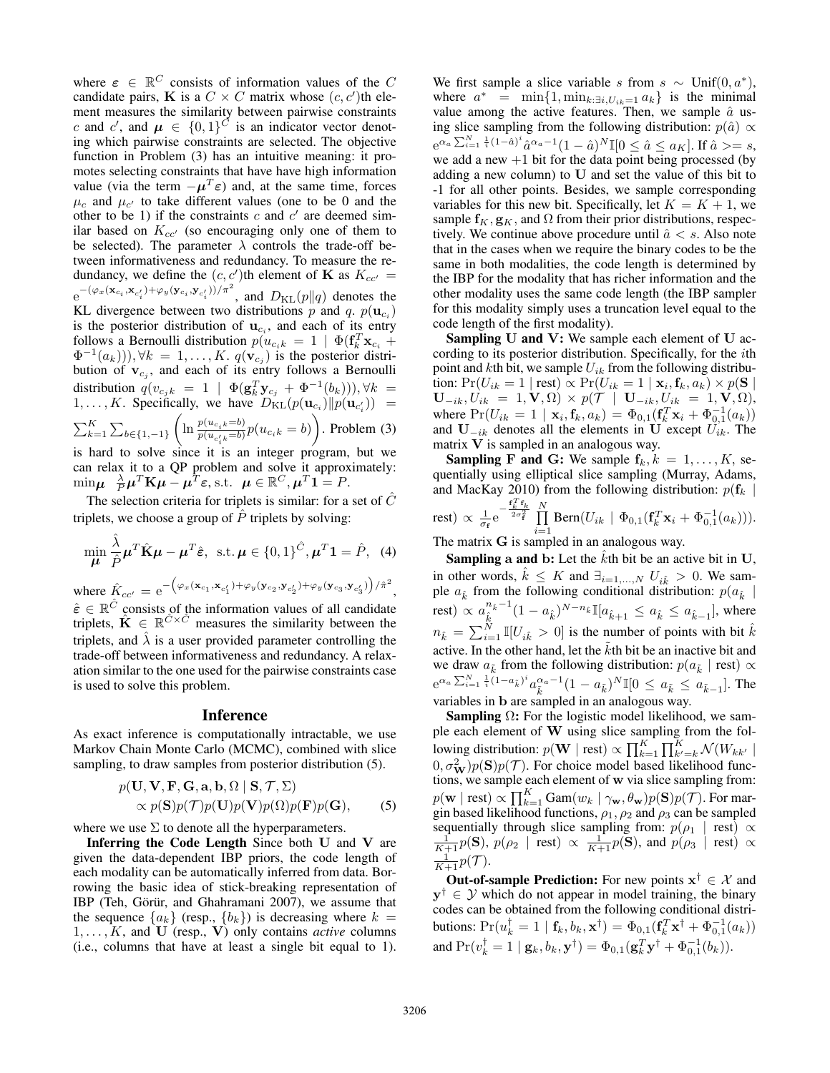where  $\varepsilon \in \mathbb{R}^C$  consists of information values of the C candidate pairs, **K** is a  $C \times C$  matrix whose  $(c, c')$ th element measures the similarity between pairwise constraints c and c', and  $\mu \in \{0,1\}^{\tilde{C}}$  is an indicator vector denoting which pairwise constraints are selected. The objective function in Problem (3) has an intuitive meaning: it promotes selecting constraints that have have high information value (via the term  $-\mu^T \varepsilon$ ) and, at the same time, forces  $\mu_c$  and  $\mu_{c'}$  to take different values (one to be 0 and the other to be 1) if the constraints  $c$  and  $c'$  are deemed similar based on  $K_{cc}$  (so encouraging only one of them to be selected). The parameter  $\lambda$  controls the trade-off between informativeness and redundancy. To measure the redundancy, we define the  $(c, c')$ th element of **K** as  $K_{cc'} =$  $e^{-(\varphi_x(\mathbf{x}_{c_i}, \mathbf{x}_{c'_i}) + \varphi_y(\mathbf{y}_{c_i}, \mathbf{y}_{c'_i})) / \pi^2}$ , and  $D_{\text{KL}}(p||q)$  denotes the KL divergence between two distributions p and q.  $p(\mathbf{u}_{c_i})$ is the posterior distribution of  $\mathbf{u}_{c_i}$ , and each of its entry follows a Bernoulli distribution  $p(u_{c_ik} = 1 \mid \Phi(\mathbf{f}_k^T \mathbf{x}_{c_i} +$  $\Phi^{-1}(a_k))$ ,  $\forall k = 1, \ldots, K$ .  $q(\mathbf{v}_{c_j})$  is the posterior distribution of  $v_{c_j}$ , and each of its entry follows a Bernoulli distribution  $q(v_{c_jk} = 1 \mid \Phi(\mathbf{g}_k^T \mathbf{y}_{c_j} + \Phi^{-1}(b_k)))$ ,  $\forall k =$  $1, \ldots, K$ . Specifically, we have  $D_{\text{KL}}(p(\mathbf{u}_{c_i})||p(\mathbf{u}_{c'_i})) =$  $\sum_{k=1}^{K} \sum_{b \in \{1,-1\}}$  $\left(\ln \frac{p(u_{c_i k} = b)}{p(u_{c_i k} = b)} p(u_{c_i k} = b)\right)$ . Problem (3) is hard to solve since it is an integer program, but we can relax it to a QP problem and solve it approximately:

 $\min_{\mu} \frac{\lambda}{P} \mu^T \mathbf{K} \mu - \mu^T \varepsilon$ , s.t.  $\mu \in \mathbb{R}^C, \mu^T \mathbf{1} = P$ .

The selection criteria for triplets is similar: for a set of  $\hat{C}$ triplets, we choose a group of  $\overline{P}$  triplets by solving:

$$
\min_{\mu} \frac{\hat{\lambda}}{\hat{P}} \mu^T \hat{\mathbf{K}} \mu - \mu^T \hat{\boldsymbol{\varepsilon}}, \text{ s.t. } \mu \in \{0, 1\}^{\hat{C}}, \mu^T \mathbf{1} = \hat{P}, \text{ (4)}
$$

where  $\hat{K}_{cc'} = e^{-\left(\varphi_x(\mathbf{x}_{c_1}, \mathbf{x}_{c'_1}) + \varphi_y(\mathbf{y}_{c_2}, \mathbf{y}_{c'_2}) + \varphi_y(\mathbf{y}_{c_3}, \mathbf{y}_{c'_3})\right)/\hat{\pi}^2}$ ,  $\hat{\varepsilon} \in \mathbb{R}^{\hat{C}}$  consists of the information values of all candidate triplets,  $\hat{\mathbf{K}} \in \mathbb{R}^{\hat{C} \times \hat{C}}$  measures the similarity between the triplets, and  $\hat{\lambda}$  is a user provided parameter controlling the trade-off between informativeness and redundancy. A relaxation similar to the one used for the pairwise constraints case is used to solve this problem.

#### Inference

As exact inference is computationally intractable, we use Markov Chain Monte Carlo (MCMC), combined with slice sampling, to draw samples from posterior distribution (5).

$$
p(\mathbf{U}, \mathbf{V}, \mathbf{F}, \mathbf{G}, \mathbf{a}, \mathbf{b}, \Omega \mid \mathbf{S}, \mathcal{T}, \Sigma) \propto p(\mathbf{S})p(\mathcal{T})p(\mathbf{U})p(\mathbf{V})p(\Omega)p(\mathbf{F})p(\mathbf{G}),
$$
\n(5)

where we use  $\Sigma$  to denote all the hyperparameters.

Inferring the Code Length Since both U and V are given the data-dependent IBP priors, the code length of each modality can be automatically inferred from data. Borrowing the basic idea of stick-breaking representation of IBP (Teh, Görür, and Ghahramani 2007), we assume that the sequence  $\{a_k\}$  (resp.,  $\{b_k\}$ ) is decreasing where  $k =$  $1, \ldots, K$ , and U (resp., V) only contains *active* columns (i.e., columns that have at least a single bit equal to 1).

We first sample a slice variable s from  $s \sim$  Unif $(0, a^*)$ , where  $a^* = \min\{1, \min_{k: \exists i, U_{ik}=1} a_k\}$  is the minimal value among the active features. Then, we sample  $\hat{a}$  using slice sampling from the following distribution:  $p(\hat{a}) \propto$  $e^{\alpha_a \sum_{i=1}^N \frac{1}{i}(1-\hat{a})^i} \hat{a}^{\alpha_a-1}(1-\hat{a})^N \mathbb{I}[0 \leq \hat{a} \leq a_K]$ . If  $\hat{a} \geq s$ , we add a new  $+1$  bit for the data point being processed (by adding a new column) to U and set the value of this bit to -1 for all other points. Besides, we sample corresponding variables for this new bit. Specifically, let  $K = K + 1$ , we sample  $f_K$ ,  $g_K$ , and  $\Omega$  from their prior distributions, respectively. We continue above procedure until  $\hat{a} < s$ . Also note that in the cases when we require the binary codes to be the same in both modalities, the code length is determined by the IBP for the modality that has richer information and the other modality uses the same code length (the IBP sampler for this modality simply uses a truncation level equal to the code length of the first modality).

**Sampling U and V:** We sample each element of **U** according to its posterior distribution. Specifically, for the ith point and kth bit, we sample  $U_{ik}$  from the following distribution:  $Pr(U_{ik} = 1 | \text{rest}) \propto Pr(U_{ik} = 1 | \textbf{x}_i, \textbf{f}_k, a_k) \times p(\textbf{S} |$  $\mathbf{U}_{-ik}, U_{ik} = 1, \mathbf{V}, \Omega) \times p(\mathcal{T} \mid \mathbf{U}_{-ik}, U_{ik} = 1, \mathbf{V}, \Omega),$ where  $Pr(U_{ik} = 1 | \mathbf{x}_i, \mathbf{f}_k, a_k) = \Phi_{0,1}(\mathbf{f}_k^T \mathbf{x}_i + \Phi_{0,1}^{-1}(a_k))$ and  $U_{-ik}$  denotes all the elements in U except  $U_{ik}$ . The matrix  $V$  is sampled in an analogous way.

**Sampling F and G:** We sample  $f_k, k = 1, \ldots, K$ , sequentially using elliptical slice sampling (Murray, Adams, and MacKay 2010) from the following distribution:  $p(f_k)$ 

rest)  $\propto \frac{1}{\sigma_f} e^{-\frac{\mathbf{f}_k^T \mathbf{f}_k}{2\sigma_f^2}} \prod_{r=1}^N$  $\prod_{i=1}^{n} \text{Bern}(U_{ik} \mid \Phi_{0,1}(\mathbf{f}_{k}^{T} \mathbf{x}_{i} + \Phi_{0,1}^{-1}(a_{k}))).$ 

The matrix G is sampled in an analogous way.

**Sampling a and b:** Let the  $k$ th bit be an active bit in  $U$ , in other words,  $\hat{k} \leq K$  and  $\exists_{i=1,...,N} U_{i\hat{k}} > 0$ . We sample  $a_k^{\varepsilon}$  from the following conditional distribution:  $p(a_k^{\varepsilon})$ rest)  $\propto a_{\hat{i}}^{n_{\hat{k}}-1}$  $\frac{n_{\hat{k}}-1}{\hat{k}}(1-a_{\hat{k}})^{N-n_{\hat{k}}}\mathbb{I}[a_{\hat{k}+1}\leq a_{\hat{k}}\leq a_{\hat{k}-1}],$  where  $n_{\hat{k}} = \sum_{i=1}^{N} \mathbb{I}[U_{i\hat{k}} > 0]$  is the number of points with bit  $\hat{k}$ active. In the other hand, let the  $\tilde{k}$ th bit be an inactive bit and we draw  $a_{\tilde{k}}$  from the following distribution:  $p(a_{\tilde{k}} \mid \text{rest}) \propto$  $e^{\alpha_a \sum_{i=1}^N \frac{1}{i} (1-a_{\tilde{k}})^i} a_{\tilde{k}}^{\alpha_a-1} (1-a_{\tilde{k}})^N \mathbb{I}[0 \le a_{\tilde{k}} \le a_{\tilde{k}-1}]$ . The variables in b are sampled in an analogous way.

**Sampling**  $\Omega$ **:** For the logistic model likelihood, we sample each element of  $W$  using slice sampling from the following distribution:  $p(\mathbf{W} \mid \text{rest}) \propto \prod_{k=1}^{K} \prod_{k'=k}^{K} \mathcal{N}(W_{kk'} \mid$  $(0, \sigma^2_{\mathbf{W}}) p(\mathbf{S}) p(\mathcal{T})$ . For choice model based likelihood functions, we sample each element of w via slice sampling from:  $p(\mathbf{w} \mid \text{rest}) \propto \prod_{k=1}^K \text{Gam}(w_k \mid \gamma_{\mathbf{w}}, \theta_{\mathbf{w}}) p(\mathbf{S}) p(\mathcal{T}).$  For margin based likelihood functions,  $\rho_1$ ,  $\rho_2$  and  $\rho_3$  can be sampled sequentially through slice sampling from:  $p(\rho_1 \mid \text{rest}) \propto \frac{1}{K+1} p(\mathbf{S}), p(\rho_2 \mid \text{rest}) \propto \frac{1}{K+1} p(\mathbf{S}),$  and  $p(\rho_3 \mid \text{rest}) \propto \frac{1}{K+1} p(\mathbf{S})$  $\frac{1}{K+1}p(\mathcal{T}).$ 

**Out-of-sample Prediction:** For new points  $x^{\dagger} \in \mathcal{X}$  and  $y^{\dagger} \in \mathcal{Y}$  which do not appear in model training, the binary codes can be obtained from the following conditional distributions:  $Pr(u_k^{\dagger} = 1 | \mathbf{f}_k, b_k, \mathbf{x}^{\dagger}) = \Phi_{0,1}(\mathbf{f}_k^T \mathbf{x}^{\dagger} + \Phi_{0,1}^{-1}(a_k))$ and  $Pr(v_k^{\dagger} = 1 | \mathbf{g}_k, b_k, \mathbf{y}^{\dagger}) = \Phi_{0,1}(\mathbf{g}_k^T \mathbf{y}^{\dagger} + \Phi_{0,1}^{-1}(b_k)).$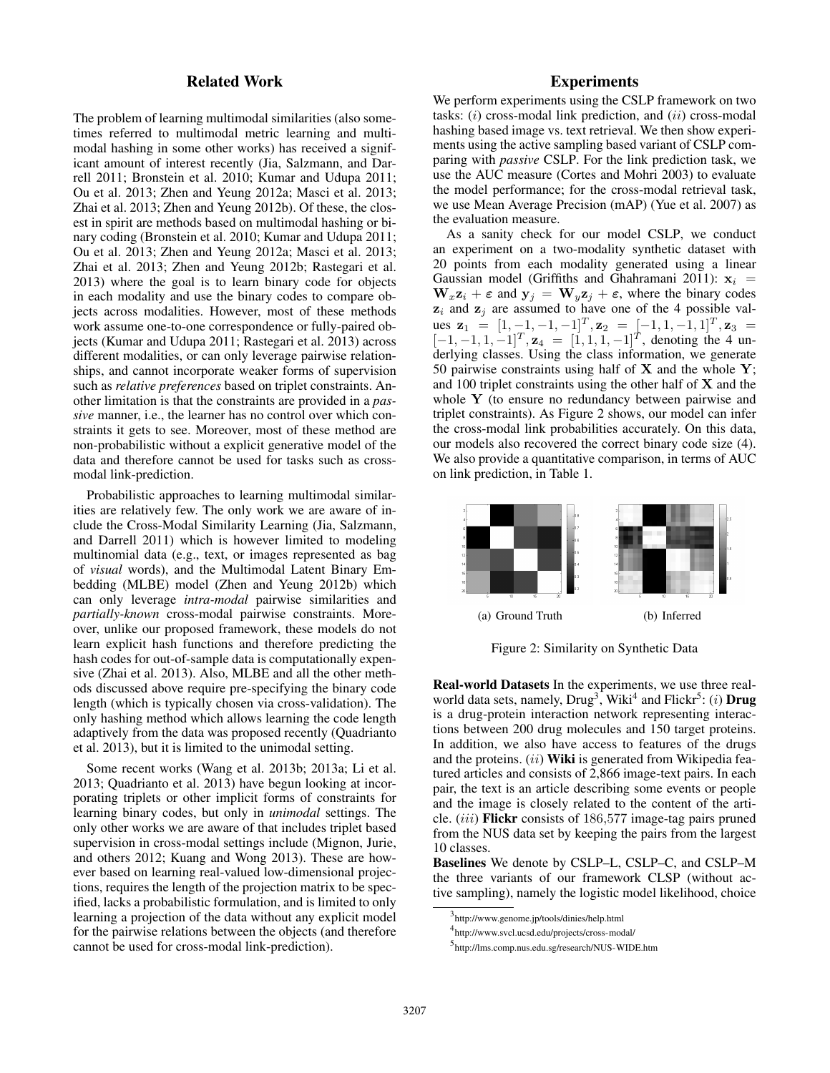## Related Work

The problem of learning multimodal similarities (also sometimes referred to multimodal metric learning and multimodal hashing in some other works) has received a significant amount of interest recently (Jia, Salzmann, and Darrell 2011; Bronstein et al. 2010; Kumar and Udupa 2011; Ou et al. 2013; Zhen and Yeung 2012a; Masci et al. 2013; Zhai et al. 2013; Zhen and Yeung 2012b). Of these, the closest in spirit are methods based on multimodal hashing or binary coding (Bronstein et al. 2010; Kumar and Udupa 2011; Ou et al. 2013; Zhen and Yeung 2012a; Masci et al. 2013; Zhai et al. 2013; Zhen and Yeung 2012b; Rastegari et al. 2013) where the goal is to learn binary code for objects in each modality and use the binary codes to compare objects across modalities. However, most of these methods work assume one-to-one correspondence or fully-paired objects (Kumar and Udupa 2011; Rastegari et al. 2013) across different modalities, or can only leverage pairwise relationships, and cannot incorporate weaker forms of supervision such as *relative preferences* based on triplet constraints. Another limitation is that the constraints are provided in a *passive* manner, i.e., the learner has no control over which constraints it gets to see. Moreover, most of these method are non-probabilistic without a explicit generative model of the data and therefore cannot be used for tasks such as crossmodal link-prediction.

Probabilistic approaches to learning multimodal similarities are relatively few. The only work we are aware of include the Cross-Modal Similarity Learning (Jia, Salzmann, and Darrell 2011) which is however limited to modeling multinomial data (e.g., text, or images represented as bag of *visual* words), and the Multimodal Latent Binary Embedding (MLBE) model (Zhen and Yeung 2012b) which can only leverage *intra-modal* pairwise similarities and *partially-known* cross-modal pairwise constraints. Moreover, unlike our proposed framework, these models do not learn explicit hash functions and therefore predicting the hash codes for out-of-sample data is computationally expensive (Zhai et al. 2013). Also, MLBE and all the other methods discussed above require pre-specifying the binary code length (which is typically chosen via cross-validation). The only hashing method which allows learning the code length adaptively from the data was proposed recently (Quadrianto et al. 2013), but it is limited to the unimodal setting.

Some recent works (Wang et al. 2013b; 2013a; Li et al. 2013; Quadrianto et al. 2013) have begun looking at incorporating triplets or other implicit forms of constraints for learning binary codes, but only in *unimodal* settings. The only other works we are aware of that includes triplet based supervision in cross-modal settings include (Mignon, Jurie, and others 2012; Kuang and Wong 2013). These are however based on learning real-valued low-dimensional projections, requires the length of the projection matrix to be specified, lacks a probabilistic formulation, and is limited to only learning a projection of the data without any explicit model for the pairwise relations between the objects (and therefore cannot be used for cross-modal link-prediction).

## **Experiments**

We perform experiments using the CSLP framework on two tasks:  $(i)$  cross-modal link prediction, and  $(ii)$  cross-modal hashing based image vs. text retrieval. We then show experiments using the active sampling based variant of CSLP comparing with *passive* CSLP. For the link prediction task, we use the AUC measure (Cortes and Mohri 2003) to evaluate the model performance; for the cross-modal retrieval task, we use Mean Average Precision (mAP) (Yue et al. 2007) as the evaluation measure.

As a sanity check for our model CSLP, we conduct an experiment on a two-modality synthetic dataset with 20 points from each modality generated using a linear Gaussian model (Griffiths and Ghahramani 2011):  $x_i$  =  $\mathbf{W}_x \mathbf{z}_i + \boldsymbol{\varepsilon}$  and  $\mathbf{y}_j = \mathbf{W}_y \mathbf{z}_j + \boldsymbol{\varepsilon}$ , where the binary codes  $z_i$  and  $z_j$  are assumed to have one of the 4 possible values  $\mathbf{z}_1 = [1, -1, -1, -1]^T$ ,  $\mathbf{z}_2 = [-1, 1, -1, 1]^T$ ,  $\mathbf{z}_3 =$  $[-1, -1, 1, -1]^T$ ,  $z_4 = [1, 1, 1, -1]^T$ , denoting the 4 underlying classes. Using the class information, we generate 50 pairwise constraints using half of  $X$  and the whole  $Y$ ; and 100 triplet constraints using the other half of  $X$  and the whole Y (to ensure no redundancy between pairwise and triplet constraints). As Figure 2 shows, our model can infer the cross-modal link probabilities accurately. On this data, our models also recovered the correct binary code size (4). We also provide a quantitative comparison, in terms of AUC on link prediction, in Table 1.



Figure 2: Similarity on Synthetic Data

Real-world Datasets In the experiments, we use three realworld data sets, namely,  $Drug^3$ , Wiki<sup>4</sup> and Flickr<sup>5</sup>: (*i*) **Drug** is a drug-protein interaction network representing interactions between 200 drug molecules and 150 target proteins. In addition, we also have access to features of the drugs and the proteins. (ii) Wiki is generated from Wikipedia featured articles and consists of 2,866 image-text pairs. In each pair, the text is an article describing some events or people and the image is closely related to the content of the article. (iii) Flickr consists of 186,577 image-tag pairs pruned from the NUS data set by keeping the pairs from the largest 10 classes.

Baselines We denote by CSLP–L, CSLP–C, and CSLP–M the three variants of our framework CLSP (without active sampling), namely the logistic model likelihood, choice

<sup>3</sup> http://www.genome.jp/tools/dinies/help.html

<sup>4</sup> http://www.svcl.ucsd.edu/projects/cross-modal/

<sup>5</sup> http://lms.comp.nus.edu.sg/research/NUS-WIDE.htm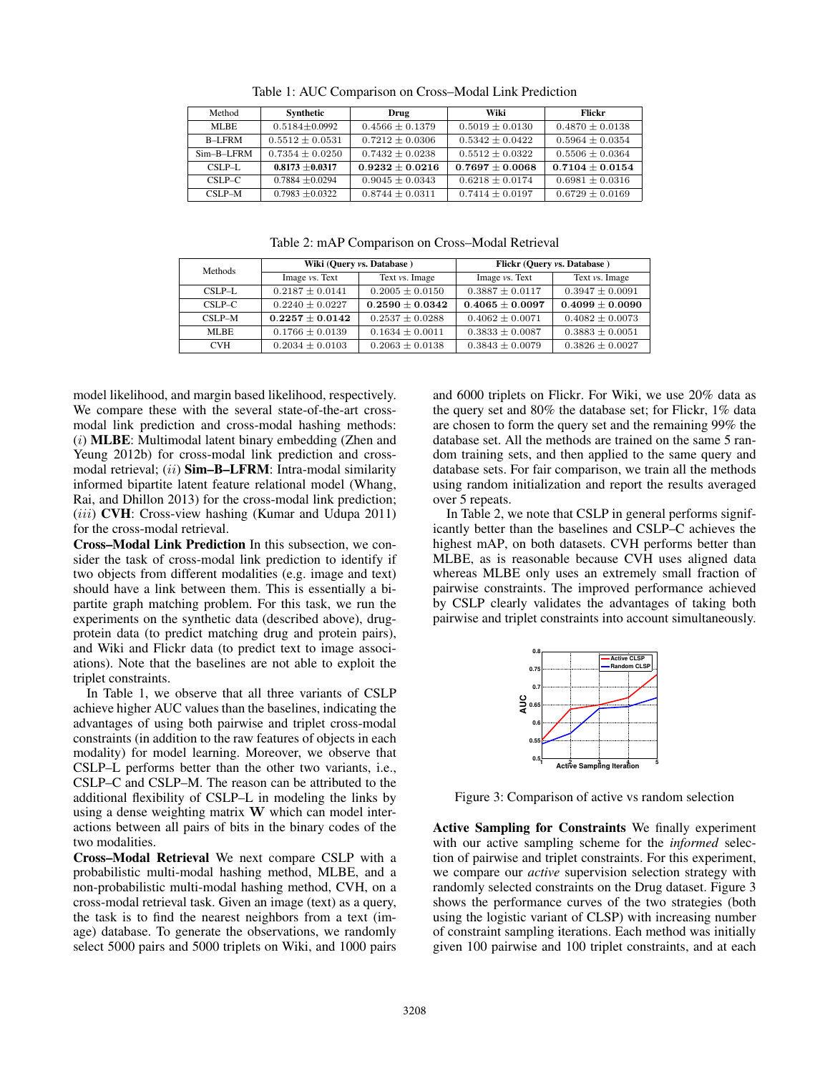| Method        | Synthetic           | Drug                | Wiki                | Flickr              |
|---------------|---------------------|---------------------|---------------------|---------------------|
| ML RE         | $0.5184 + 0.0992$   | $0.4566 \pm 0.1379$ | $0.5019 \pm 0.0130$ | $0.4870 + 0.0138$   |
| B-LFRM        | $0.5512 \pm 0.0531$ | $0.7212 + 0.0306$   | $0.5342 \pm 0.0422$ | $0.5964 \pm 0.0354$ |
| $Sim-B-I.FRM$ | $0.7354 \pm 0.0250$ | $0.7432 + 0.0238$   | $0.5512 + 0.0322$   | $0.5506 + 0.0364$   |
| $CSLP-L$      | $0.8173 + 0.0317$   | $0.9232 + 0.0216$   | $0.7697 \pm 0.0068$ | $0.7104 \pm 0.0154$ |
| $CSLP-C$      | $0.7884 + 0.0294$   | $0.9045 \pm 0.0343$ | $0.6218 \pm 0.0174$ | $0.6981 \pm 0.0316$ |
| $CSLP-M$      | $0.7983 + 0.0322$   | $0.8744 \pm 0.0311$ | $0.7414 \pm 0.0197$ | $0.6729 \pm 0.0169$ |

Table 1: AUC Comparison on Cross–Modal Link Prediction

Table 2: mAP Comparison on Cross–Modal Retrieval

| Methods    | Wiki (Query vs. Database) |                       | Flickr (Query vs. Database) |                     |
|------------|---------------------------|-----------------------|-----------------------------|---------------------|
|            | Image vs. Text            | Text <i>vs.</i> Image | Image vs. Text              | Text vs. Image      |
| $CSLP-L$   | $0.2187 \pm 0.0141$       | $0.2005 \pm 0.0150$   | $0.3887 + 0.0117$           | $0.3947 \pm 0.0091$ |
| $CSLP-C$   | $0.2240 \pm 0.0227$       | $0.2590 \pm 0.0342$   | $0.4065 \pm 0.0097$         | $0.4099 \pm 0.0090$ |
| $CSLP-M$   | $0.2257 \pm 0.0142$       | $0.2537 \pm 0.0288$   | $0.4062 + 0.0071$           | $0.4082 \pm 0.0073$ |
| MLBE.      | $0.1766 \pm 0.0139$       | $0.1634 \pm 0.0011$   | $0.3833 \pm 0.0087$         | $0.3883 \pm 0.0051$ |
| <b>CVH</b> | $0.2034 \pm 0.0103$       | $0.2063 \pm 0.0138$   | $0.3843 \pm 0.0079$         | $0.3826 \pm 0.0027$ |

model likelihood, and margin based likelihood, respectively. We compare these with the several state-of-the-art crossmodal link prediction and cross-modal hashing methods: (i) MLBE: Multimodal latent binary embedding (Zhen and Yeung 2012b) for cross-modal link prediction and crossmodal retrieval; (ii) Sim-B-LFRM: Intra-modal similarity informed bipartite latent feature relational model (Whang, Rai, and Dhillon 2013) for the cross-modal link prediction; (iii) CVH: Cross-view hashing (Kumar and Udupa 2011) for the cross-modal retrieval.

Cross–Modal Link Prediction In this subsection, we consider the task of cross-modal link prediction to identify if two objects from different modalities (e.g. image and text) should have a link between them. This is essentially a bipartite graph matching problem. For this task, we run the experiments on the synthetic data (described above), drugprotein data (to predict matching drug and protein pairs), and Wiki and Flickr data (to predict text to image associations). Note that the baselines are not able to exploit the triplet constraints.

In Table 1, we observe that all three variants of CSLP achieve higher AUC values than the baselines, indicating the advantages of using both pairwise and triplet cross-modal constraints (in addition to the raw features of objects in each modality) for model learning. Moreover, we observe that CSLP–L performs better than the other two variants, i.e., CSLP–C and CSLP–M. The reason can be attributed to the additional flexibility of CSLP–L in modeling the links by using a dense weighting matrix W which can model interactions between all pairs of bits in the binary codes of the two modalities.

Cross–Modal Retrieval We next compare CSLP with a probabilistic multi-modal hashing method, MLBE, and a non-probabilistic multi-modal hashing method, CVH, on a cross-modal retrieval task. Given an image (text) as a query, the task is to find the nearest neighbors from a text (image) database. To generate the observations, we randomly select 5000 pairs and 5000 triplets on Wiki, and 1000 pairs

and 6000 triplets on Flickr. For Wiki, we use 20% data as the query set and 80% the database set; for Flickr, 1% data are chosen to form the query set and the remaining 99% the database set. All the methods are trained on the same 5 random training sets, and then applied to the same query and database sets. For fair comparison, we train all the methods using random initialization and report the results averaged over 5 repeats.

In Table 2, we note that CSLP in general performs significantly better than the baselines and CSLP–C achieves the highest mAP, on both datasets. CVH performs better than MLBE, as is reasonable because CVH uses aligned data whereas MLBE only uses an extremely small fraction of pairwise constraints. The improved performance achieved by CSLP clearly validates the advantages of taking both pairwise and triplet constraints into account simultaneously.



Figure 3: Comparison of active vs random selection

Active Sampling for Constraints We finally experiment with our active sampling scheme for the *informed* selection of pairwise and triplet constraints. For this experiment, we compare our *active* supervision selection strategy with randomly selected constraints on the Drug dataset. Figure 3 shows the performance curves of the two strategies (both using the logistic variant of CLSP) with increasing number of constraint sampling iterations. Each method was initially given 100 pairwise and 100 triplet constraints, and at each